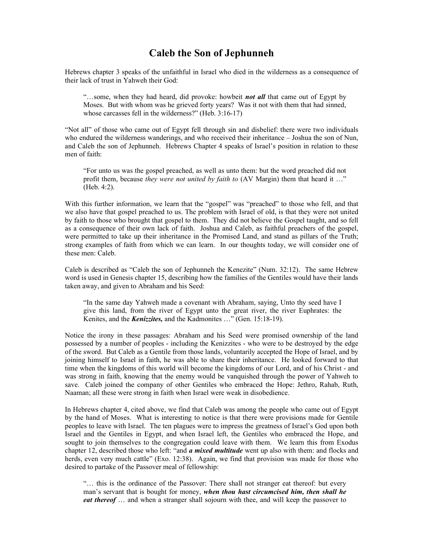## Caleb the Son of Jephunneh

Hebrews chapter 3 speaks of the unfaithful in Israel who died in the wilderness as a consequence of their lack of trust in Yahweh their God:

"...some, when they had heard, did provoke: howbeit **not all** that came out of Egypt by Moses. But with whom was he grieved forty years? Was it not with them that had sinned, whose carcasses fell in the wilderness?" (Heb. 3:16-17)

"Not all" of those who came out of Egypt fell through sin and disbelief: there were two individuals who endured the wilderness wanderings, and who received their inheritance – Joshua the son of Nun, and Caleb the son of Jephunneh. Hebrews Chapter 4 speaks of Israel's position in relation to these men of faith:

"For unto us was the gospel preached, as well as unto them: but the word preached did not profit them, because they were not united by faith to  $(AV Margin)$  them that heard it ..." (Heb. 4:2).

With this further information, we learn that the "gospel" was "preached" to those who fell, and that we also have that gospel preached to us. The problem with Israel of old, is that they were not united by faith to those who brought that gospel to them. They did not believe the Gospel taught, and so fell as a consequence of their own lack of faith. Joshua and Caleb, as faithful preachers of the gospel, were permitted to take up their inheritance in the Promised Land, and stand as pillars of the Truth; strong examples of faith from which we can learn. In our thoughts today, we will consider one of these men: Caleb.

Caleb is described as "Caleb the son of Jephunneh the Kenezite" (Num. 32:12). The same Hebrew word is used in Genesis chapter 15, describing how the families of the Gentiles would have their lands taken away, and given to Abraham and his Seed:

"In the same day Yahweh made a covenant with Abraham, saying, Unto thy seed have I give this land, from the river of Egypt unto the great river, the river Euphrates: the Kenites, and the **Kenizzites**, and the Kadmonites ..." (Gen. 15:18-19).

Notice the irony in these passages: Abraham and his Seed were promised ownership of the land possessed by a number of peoples - including the Kenizzites - who were to be destroyed by the edge of the sword. But Caleb as a Gentile from those lands, voluntarily accepted the Hope of Israel, and by joining himself to Israel in faith, he was able to share their inheritance. He looked forward to that time when the kingdoms of this world will become the kingdoms of our Lord, and of his Christ - and was strong in faith, knowing that the enemy would be vanquished through the power of Yahweh to save. Caleb joined the company of other Gentiles who embraced the Hope: Jethro, Rahab, Ruth, Naaman; all these were strong in faith when Israel were weak in disobedience.

In Hebrews chapter 4, cited above, we find that Caleb was among the people who came out of Egypt by the hand of Moses. What is interesting to notice is that there were provisions made for Gentile peoples to leave with Israel. The ten plagues were to impress the greatness of Israel's God upon both Israel and the Gentiles in Egypt, and when Israel left, the Gentiles who embraced the Hope, and sought to join themselves to the congregation could leave with them. We learn this from Exodus chapter 12, described those who left: "and **a mixed multitude** went up also with them: and flocks and herds, even very much cattle" (Exo. 12:38). Again, we find that provision was made for those who desired to partake of the Passover meal of fellowship:

"… this is the ordinance of the Passover: There shall not stranger eat thereof: but every man's servant that is bought for money, when thou hast circumcised him, then shall he eat thereof ... and when a stranger shall sojourn with thee, and will keep the passover to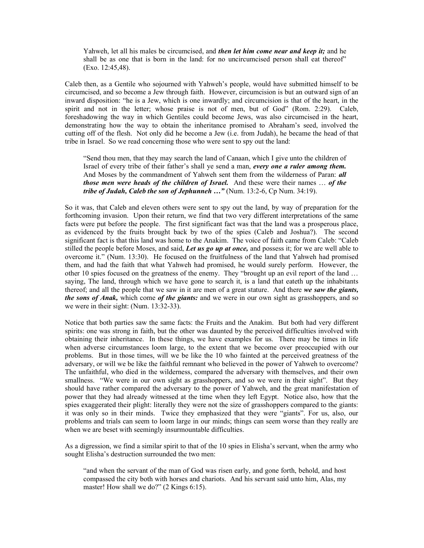Yahweh, let all his males be circumcised, and *then let him come near and keep it*; and he shall be as one that is born in the land: for no uncircumcised person shall eat thereof" (Exo. 12:45,48).

Caleb then, as a Gentile who sojourned with Yahweh's people, would have submitted himself to be circumcised, and so become a Jew through faith. However, circumcision is but an outward sign of an inward disposition: "he is a Jew, which is one inwardly; and circumcision is that of the heart, in the spirit and not in the letter; whose praise is not of men, but of God" (Rom. 2:29). Caleb, foreshadowing the way in which Gentiles could become Jews, was also circumcised in the heart, demonstrating how the way to obtain the inheritance promised to Abraham's seed, involved the cutting off of the flesh. Not only did he become a Jew (i.e. from Judah), he became the head of that tribe in Israel. So we read concerning those who were sent to spy out the land:

"Send thou men, that they may search the land of Canaan, which I give unto the children of Israel of every tribe of their father's shall ye send a man, every one a ruler among them. And Moses by the commandment of Yahweh sent them from the wilderness of Paran: all those men were heads of the children of Israel. And these were their names  $\ldots$  of the tribe of Judah, Caleb the son of Jephunneh ..." (Num. 13:2-6, Cp Num. 34:19).

So it was, that Caleb and eleven others were sent to spy out the land, by way of preparation for the forthcoming invasion. Upon their return, we find that two very different interpretations of the same facts were put before the people. The first significant fact was that the land was a prosperous place, as evidenced by the fruits brought back by two of the spies (Caleb and Joshua?). The second significant fact is that this land was home to the Anakim. The voice of faith came from Caleb: "Caleb stilled the people before Moses, and said, Let us go up at once, and possess it; for we are well able to overcome it." (Num. 13:30). He focused on the fruitfulness of the land that Yahweh had promised them, and had the faith that what Yahweh had promised, he would surely perform. However, the other 10 spies focused on the greatness of the enemy. They "brought up an evil report of the land … saying, The land, through which we have gone to search it, is a land that eateth up the inhabitants thereof; and all the people that we saw in it are men of a great stature. And there we saw the giants, the sons of Anak, which come of the giants: and we were in our own sight as grasshoppers, and so we were in their sight: (Num. 13:32-33).

Notice that both parties saw the same facts: the Fruits and the Anakim. But both had very different spirits: one was strong in faith, but the other was daunted by the perceived difficulties involved with obtaining their inheritance. In these things, we have examples for us. There may be times in life when adverse circumstances loom large, to the extent that we become over preoccupied with our problems. But in those times, will we be like the 10 who fainted at the perceived greatness of the adversary, or will we be like the faithful remnant who believed in the power of Yahweh to overcome? The unfaithful, who died in the wilderness, compared the adversary with themselves, and their own smallness. "We were in our own sight as grasshoppers, and so we were in their sight". But they should have rather compared the adversary to the power of Yahweh, and the great manifestation of power that they had already witnessed at the time when they left Egypt. Notice also, how that the spies exaggerated their plight: literally they were not the size of grasshoppers compared to the giants: it was only so in their minds. Twice they emphasized that they were "giants". For us, also, our problems and trials can seem to loom large in our minds; things can seem worse than they really are when we are beset with seemingly insurmountable difficulties.

As a digression, we find a similar spirit to that of the 10 spies in Elisha's servant, when the army who sought Elisha's destruction surrounded the two men:

"and when the servant of the man of God was risen early, and gone forth, behold, and host compassed the city both with horses and chariots. And his servant said unto him, Alas, my master! How shall we do?" (2 Kings 6:15).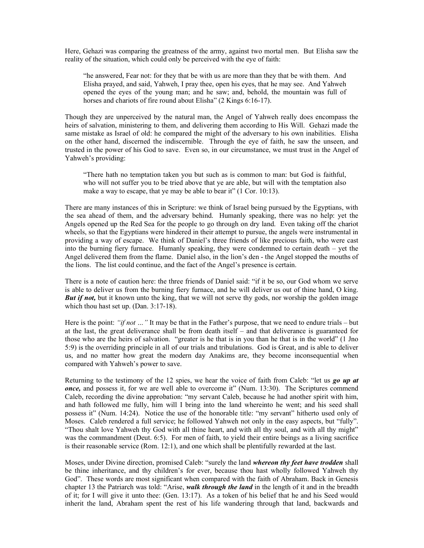Here, Gehazi was comparing the greatness of the army, against two mortal men. But Elisha saw the reality of the situation, which could only be perceived with the eye of faith:

"he answered, Fear not: for they that be with us are more than they that be with them. And Elisha prayed, and said, Yahweh, I pray thee, open his eyes, that he may see. And Yahweh opened the eyes of the young man; and he saw; and, behold, the mountain was full of horses and chariots of fire round about Elisha" (2 Kings 6:16-17).

Though they are unperceived by the natural man, the Angel of Yahweh really does encompass the heirs of salvation, ministering to them, and delivering them according to His Will. Gehazi made the same mistake as Israel of old: he compared the might of the adversary to his own inabilities. Elisha on the other hand, discerned the indiscernible. Through the eye of faith, he saw the unseen, and trusted in the power of his God to save. Even so, in our circumstance, we must trust in the Angel of Yahweh's providing:

"There hath no temptation taken you but such as is common to man: but God is faithful, who will not suffer you to be tried above that ye are able, but will with the temptation also make a way to escape, that ye may be able to bear it" (1 Cor. 10:13).

There are many instances of this in Scripture: we think of Israel being pursued by the Egyptians, with the sea ahead of them, and the adversary behind. Humanly speaking, there was no help: yet the Angels opened up the Red Sea for the people to go through on dry land. Even taking off the chariot wheels, so that the Egyptians were hindered in their attempt to pursue, the angels were instrumental in providing a way of escape. We think of Daniel's three friends of like precious faith, who were cast into the burning fiery furnace. Humanly speaking, they were condemned to certain death – yet the Angel delivered them from the flame. Daniel also, in the lion's den - the Angel stopped the mouths of the lions. The list could continue, and the fact of the Angel's presence is certain.

There is a note of caution here: the three friends of Daniel said: "if it be so, our God whom we serve is able to deliver us from the burning fiery furnace, and he will deliver us out of thine hand, O king. **But if not,** but it known unto the king, that we will not serve thy gods, nor worship the golden image which thou hast set up. (Dan. 3:17-18).

Here is the point: "*if not* ..." It may be that in the Father's purpose, that we need to endure trials – but at the last, the great deliverance shall be from death itself – and that deliverance is guaranteed for those who are the heirs of salvation. "greater is he that is in you than he that is in the world" (1 Jno 5:9) is the overriding principle in all of our trials and tribulations. God is Great, and is able to deliver us, and no matter how great the modern day Anakims are, they become inconsequential when compared with Yahweh's power to save.

Returning to the testimony of the 12 spies, we hear the voice of faith from Caleb: "let us go up at once, and possess it, for we are well able to overcome it" (Num. 13:30). The Scriptures commend Caleb, recording the divine approbation: "my servant Caleb, because he had another spirit with him, and hath followed me fully, him will I bring into the land whereinto he went; and his seed shall possess it" (Num. 14:24). Notice the use of the honorable title: "my servant" hitherto used only of Moses. Caleb rendered a full service; he followed Yahweh not only in the easy aspects, but "fully". "Thou shalt love Yahweh thy God with all thine heart, and with all thy soul, and with all thy might" was the commandment (Deut. 6:5). For men of faith, to yield their entire beings as a living sacrifice is their reasonable service (Rom. 12:1), and one which shall be plentifully rewarded at the last.

Moses, under Divine direction, promised Caleb: "surely the land whereon thy feet have trodden shall be thine inheritance, and thy children's for ever, because thou hast wholly followed Yahweh thy God". These words are most significant when compared with the faith of Abraham. Back in Genesis chapter 13 the Patriarch was told: "Arise, walk through the land in the length of it and in the breadth of it; for I will give it unto thee: (Gen. 13:17). As a token of his belief that he and his Seed would inherit the land, Abraham spent the rest of his life wandering through that land, backwards and